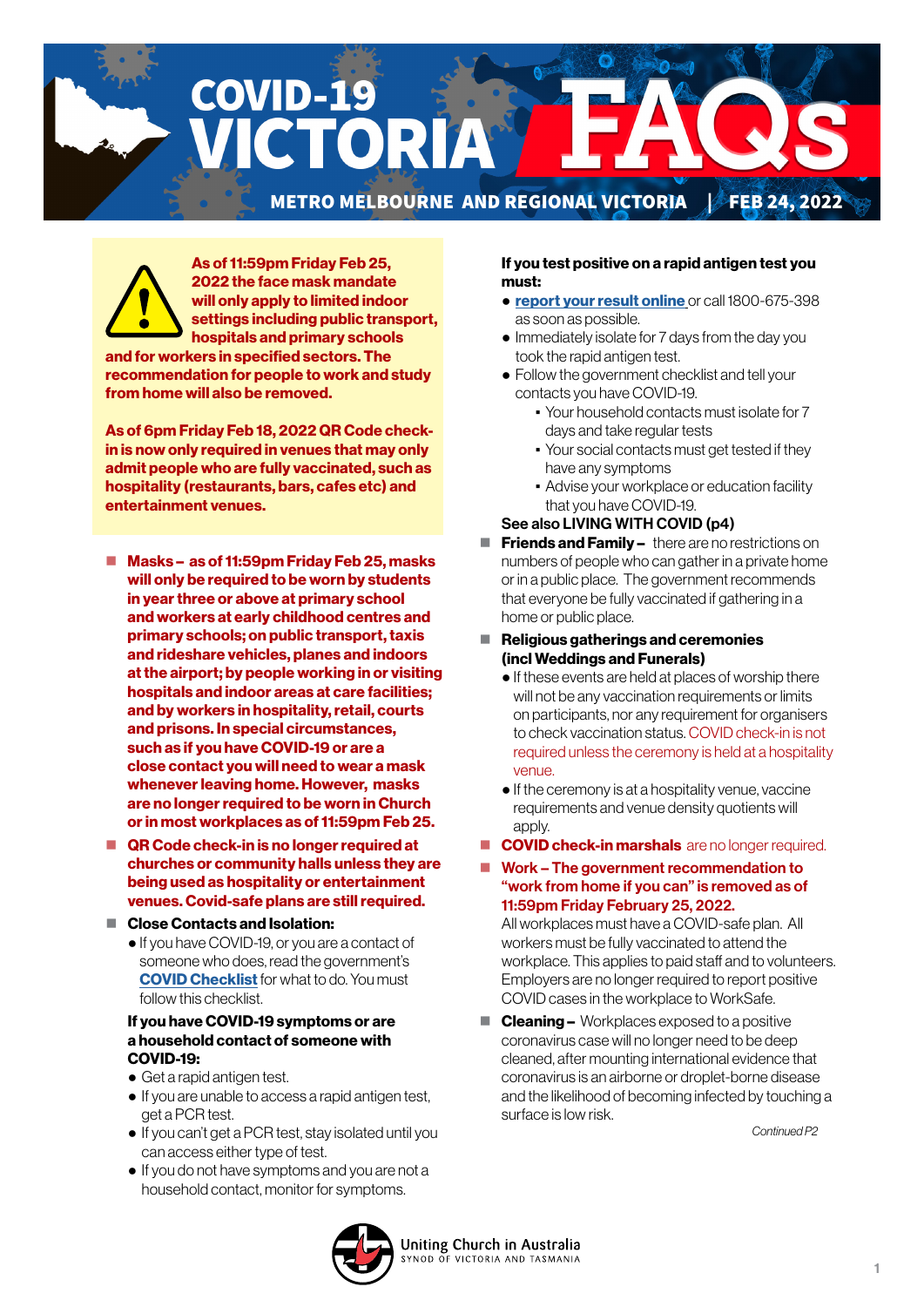# COVID-19 CTORI 71 METRO MELBOURNE AND REGIONAL VICTORIA & FEB 24, 2022

As of 11:59pm Friday Feb 25, 2022 the face mask mandate will only apply to limited indoor settings including public transport, hospitals and primary schools

and for workers in specified sectors. The recommendation for people to work and study from home will also be removed.

As of 6pm Friday Feb 18, 2022 QR Code checkin is now only required in venues that may only admit people who are fully vaccinated, such as hospitality (restaurants, bars, cafes etc) and entertainment venues.

- Masks as of 11:59pm Friday Feb 25, masks will only be required to be worn by students in year three or above at primary school and workers at early childhood centres and primary schools; on public transport, taxis and rideshare vehicles, planes and indoors at the airport; by people working in or visiting hospitals and indoor areas at care facilities; and by workers in hospitality, retail, courts and prisons. In special circumstances, such as if you have COVID-19 or are a close contact you will need to wear a mask whenever leaving home. However, masks are no longer required to be worn in Church or in most workplaces as of 11:59pm Feb 25.
- QR Code check-in is no longer required at churches or community halls unless they are being used as hospitality or entertainment venues. Covid-safe plans are still required.
- Close Contacts and Isolation:
	- If you have COVID-19, or you are a contact of someone who does, read the government's **[COVID Checklist](https://www.coronavirus.vic.gov.au/checklist)** for what to do. You must follow this checklist.

#### If you have COVID-19 symptoms or are a household contact of someone with COVID-19:

- Get a rapid antigen test.
- If you are unable to access a rapid antigen test, get a PCR test.
- If you can't get a PCR test, stay isolated until you can access either type of test.
- If you do not have symptoms and you are not a household contact, monitor for symptoms.

#### If you test positive on a rapid antigen test you must:

- [report your result online](https://www.coronavirus.vic.gov.au/node/22270) or call 1800-675-398 as soon as possible.
- Immediately isolate for 7 days from the day you took the rapid antigen test.
- Follow the government checklist and tell your contacts you have COVID-19.
	- Your household contacts must isolate for 7 days and take regular tests
	- Your social contacts must get tested if they have any symptoms
	- **Advise your workplace or education facility** that you have COVID-19.

#### See also LIVING WITH COVID (p4)

- $\blacksquare$  Friends and Family there are no restrictions on numbers of people who can gather in a private home or in a public place. The government recommends that everyone be fully vaccinated if gathering in a home or public place.
- $\blacksquare$  Religious gatherings and ceremonies (incl Weddings and Funerals)
	- If these events are held at places of worship there will not be any vaccination requirements or limits on participants, nor any requirement for organisers to check vaccination status. COVID check-in is not required unless the ceremony is held at a hospitality venue.
	- If the ceremony is at a hospitality venue, vaccine requirements and venue density quotients will apply.
- COVID check-in marshals are no longer required.
- Work The government recommendation to "work from home if you can" is removed as of 11:59pm Friday February 25, 2022.

All workplaces must have a COVID-safe plan. All workers must be fully vaccinated to attend the workplace. This applies to paid staff and to volunteers. Employers are no longer required to report positive COVID cases in the workplace to WorkSafe.

■ **Cleaning –** Workplaces exposed to a positive coronavirus case will no longer need to be deep cleaned, after mounting international evidence that coronavirus is an airborne or droplet-borne disease and the likelihood of becoming infected by touching a surface is low risk.

*Continued P2*

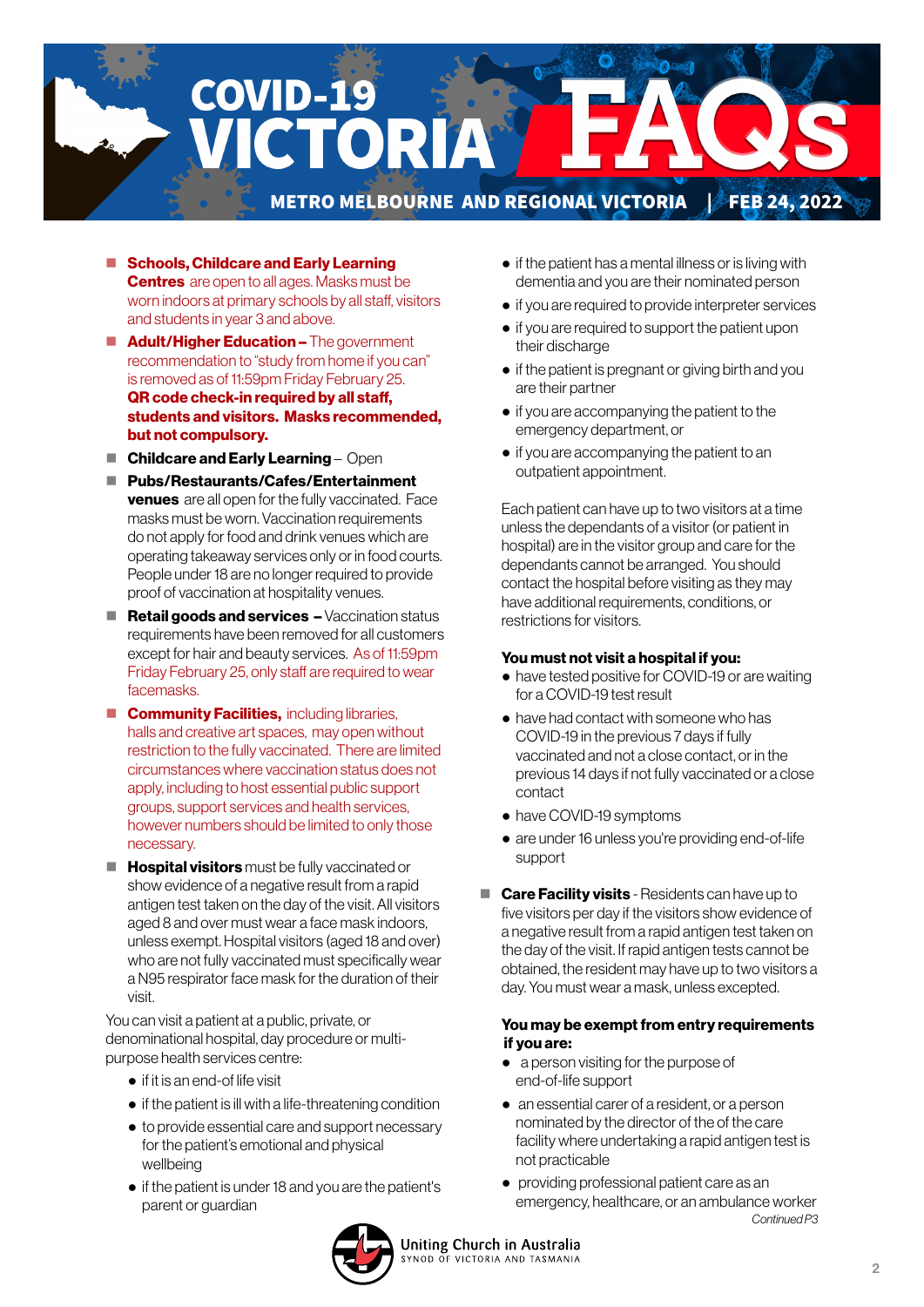

- Schools, Childcare and Early Learning **Centres** are open to all ages. Masks must be worn indoors at primary schools by all staff, visitors and students in year 3 and above.
- **Adult/Higher Education –** The government recommendation to "study from home if you can" is removed as of 11:59pm Friday February 25. QR code check-in required by all staff, students and visitors. Masks recommended, but not compulsory.
- $\blacksquare$  Childcare and Early Learning Open
- Pubs/Restaurants/Cafes/Entertainment **venues** are all open for the fully vaccinated. Face masks must be worn. Vaccination requirements do not apply for food and drink venues which are operating takeaway services only or in food courts. People under 18 are no longer required to provide proof of vaccination at hospitality venues.
- $\blacksquare$  Retail goods and services  $-$  Vaccination status requirements have been removed for all customers except for hair and beauty services. As of 11:59pm Friday February 25, only staff are required to wear facemasks.
- **Community Facilities, including libraries,** halls and creative art spaces, may open without restriction to the fully vaccinated. There are limited circumstances where vaccination status does not apply, including to host essential public support groups, support services and health services, however numbers should be limited to only those necessary.
- $\blacksquare$  Hospital visitors must be fully vaccinated or show evidence of a negative result from a rapid antigen test taken on the day of the visit. All visitors aged 8 and over must wear a face mask indoors, unless exempt. Hospital visitors (aged 18 and over) who are not fully vaccinated must specifically wear a N95 respirator face mask for the duration of their visit.

You can visit a patient at a public, private, or denominational hospital, day procedure or multipurpose health services centre:

- if it is an end-of life visit
- if the patient is ill with a life-threatening condition
- to provide essential care and support necessary for the patient's emotional and physical wellbeing
- if the patient is under 18 and you are the patient's parent or guardian
- if the patient has a mental illness or is living with dementia and you are their nominated person
- if you are required to provide interpreter services
- if you are required to support the patient upon their discharge
- if the patient is pregnant or giving birth and you are their partner
- if you are accompanying the patient to the emergency department, or
- if you are accompanying the patient to an outpatient appointment.

 Each patient can have up to two visitors at a time unless the dependants of a visitor (or patient in hospital) are in the visitor group and care for the dependants cannot be arranged. You should contact the hospital before visiting as they may have additional requirements, conditions, or restrictions for visitors.

#### You must not visit a hospital if you:

- have tested positive for COVID-19 or are waiting for a COVID-19 test result
- have had contact with someone who has COVID-19 in the previous 7 days if fully vaccinated and not a close contact, or in the previous 14 days if not fully vaccinated or a close contact
- have COVID-19 symptoms
- are under 16 unless you're providing end-of-life support
- **Care Facility visits** Residents can have up to five visitors per day if the visitors show evidence of a negative result from a rapid antigen test taken on the day of the visit. If rapid antigen tests cannot be obtained, the resident may have up to two visitors a day. You must wear a mask, unless excepted.

#### You may be exempt from entry requirements if you are:

- a person visiting for the purpose of end-of-life support
- an essential carer of a resident, or a person nominated by the director of the of the care facility where undertaking a rapid antigen test is not practicable
- providing professional patient care as an emergency, healthcare, or an ambulance worker *Continued P3*

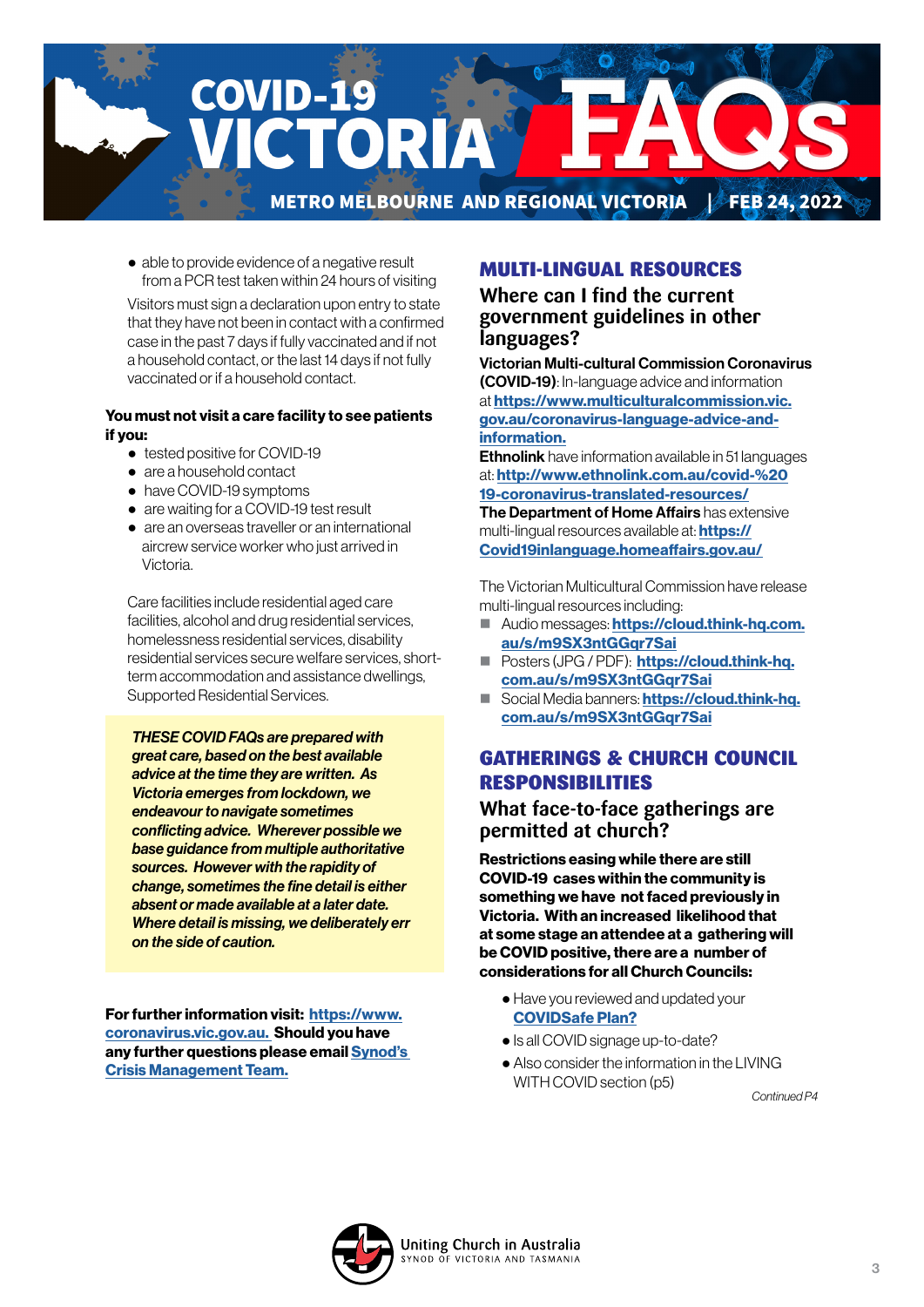

● able to provide evidence of a negative result from a PCR test taken within 24 hours of visiting

 Visitors must sign a declaration upon entry to state that they have not been in contact with a confirmed case in the past 7 days if fully vaccinated and if not a household contact, or the last 14 days if not fully vaccinated or if a household contact.

#### You must not visit a care facility to see patients if you:

- tested positive for COVID-19
- are a household contact
- have COVID-19 symptoms
- are waiting for a COVID-19 test result
- are an overseas traveller or an international aircrew service worker who just arrived in Victoria.

 Care facilities include residential aged care facilities, alcohol and drug residential services, homelessness residential services, disability residential services secure welfare services, shortterm accommodation and assistance dwellings, Supported Residential Services.

*THESE COVID FAQs are prepared with great care, based on the best available advice at the time they are written. As Victoria emerges from lockdown, we endeavour to navigate sometimes conflicting advice. Wherever possible we base guidance from multiple authoritative sources. However with the rapidity of change, sometimes the fine detail is either absent or made available at a later date. Where detail is missing, we deliberately err on the side of caution.* 

For further information visit: [https://www.](https://www.coronavirus.vic.gov.au) [coronavirus.vic.gov.au.](https://www.coronavirus.vic.gov.au) Should you have any further questions please email [Synod's](mailto:CrisisManagement%40victas.uca.org.au?subject=)  [Crisis Management Team.](mailto:CrisisManagement%40victas.uca.org.au?subject=)

# MULTI-LINGUAL RESOURCES

**Where can I find the current government guidelines in other languages?** 

Victorian Multi-cultural Commission Coronavirus (COVID-19): In-language advice and information at [https://www.multiculturalcommission.vic.](https://www.multiculturalcommission.vic.gov.au/coronavirus-language-advice-and-information) [gov.au/coronavirus-language-advice-and](https://www.multiculturalcommission.vic.gov.au/coronavirus-language-advice-and-information)[information.](https://www.multiculturalcommission.vic.gov.au/coronavirus-language-advice-and-information)

**Ethnolink** have information available in 51 languages at: [http://www.ethnolink.com.au/covid-%20](http://www.ethnolink.com.au/covid-%2019-coronavirus-translated-resources/) [19-coronavirus-translated-resources/](http://www.ethnolink.com.au/covid-%2019-coronavirus-translated-resources/) The Department of Home Affairs has extensive

multi-lingual resources available at: **[https://](https://Covid19inlanguage.homeaffairs.gov.au/)** [Covid19inlanguage.homeaffairs.gov.au/](https://Covid19inlanguage.homeaffairs.gov.au/)

The Victorian Multicultural Commission have release multi-lingual resources including:

- Audio messages: [https://cloud.think-hq.com.](https://cloud.think-hq.com.au/s/m9SX3ntGGqr7Sai) [au/s/m9SX3ntGGqr7Sai](https://cloud.think-hq.com.au/s/m9SX3ntGGqr7Sai)
- **Posters (JPG / PDF): [https://cloud.think-hq.](https://cloud.think-hq.com.au/s/m9SX3ntGGqr7Sai)** com.au/s/m9SX3ntGGar7Sai
- Social Media banners: [https://cloud.think-hq.](https://cloud.think-hq.com.au/s/m9SX3ntGGqr7Sai) [com.au/s/m9SX3ntGGqr7Sai](https://cloud.think-hq.com.au/s/m9SX3ntGGqr7Sai)

# GATHERINGS & CHURCH COUNCIL RESPONSIBILITIES

### **What face-to-face gatherings are permitted at church?**

Restrictions easing while there are still COVID-19 cases within the community is something we have not faced previously in Victoria. With an increased likelihood that at some stage an attendee at a gathering will be COVID positive, there are a number of considerations for all Church Councils:

- Have you reviewed and updated your [COVIDSafe Plan?](https://victas.uca.org.au/download/668/faq/8852/recovery-action-plan-checklist-v5)
- Is all COVID signage up-to-date?
- Also consider the information in the LIVING WITH COVID section (p5)

*Continued P4*

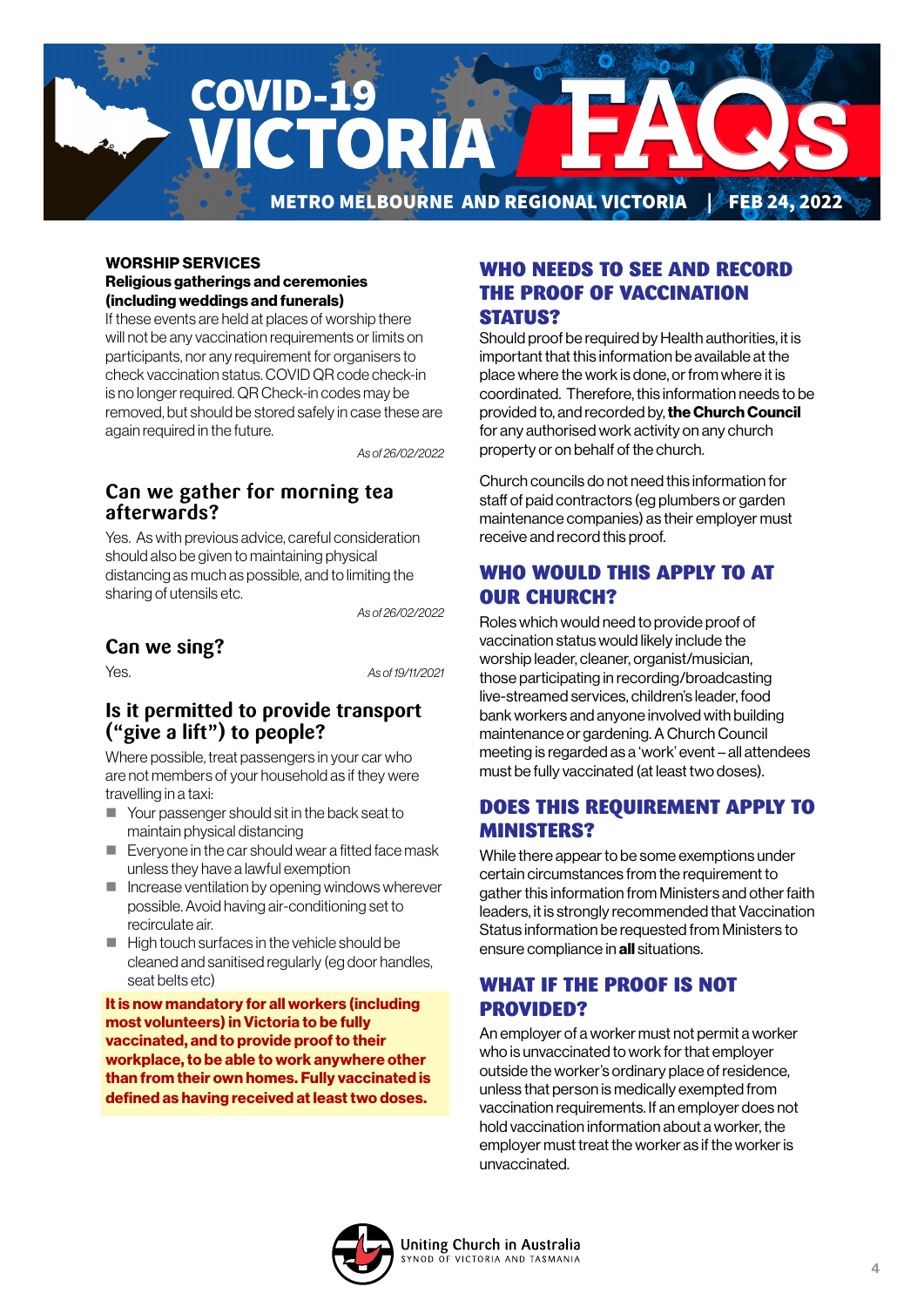

#### WORSHIP SERVICES Religious gatherings and ceremonies (including weddings and funerals)

If these events are held at places of worship there will not be any vaccination requirements or limits on participants, nor any requirement for organisers to check vaccination status. COVID QR code check-in is no longer required. QR Check-in codes may be removed, but should be stored safely in case these are again required in the future.

*As of 26/02/2022*

# **Can we gather for morning tea afterwards?**

Yes. As with previous advice, careful consideration should also be given to maintaining physical distancing as much as possible, and to limiting the sharing of utensils etc.

*As of 26/02/2022*

# **Can we sing?**

Yes. *As of 19/11/2021*

### **Is it permitted to provide transport ("give a lift") to people?**

Where possible, treat passengers in your car who are not members of your household as if they were travelling in a taxi:

- Your passenger should sit in the back seat to maintain physical distancing
- Everyone in the car should wear a fitted face mask unless they have a lawful exemption
- $\blacksquare$  Increase ventilation by opening windows wherever possible. Avoid having air-conditioning set to recirculate air.
- $\blacksquare$  High touch surfaces in the vehicle should be cleaned and sanitised regularly (eg door handles, seat belts etc)

It is now mandatory for all workers (including most volunteers) in Victoria to be fully vaccinated, and to provide proof to their workplace, to be able to work anywhere other than from their own homes. Fully vaccinated is defined as having received at least two doses.

### WHO NEEDS TO SEE AND RECORD THE PROOF OF VACCINATION STATUS?

Should proof be required by Health authorities, it is important that this information be available at the place where the work is done, or from where it is coordinated. Therefore, this information needs to be provided to, and recorded by, the Church Council for any authorised work activity on any church property or on behalf of the church.

Church councils do not need this information for staff of paid contractors (eg plumbers or garden maintenance companies) as their employer must receive and record this proof.

# WHO WOULD THIS APPLY TO AT OUR CHURCH?

Roles which would need to provide proof of vaccination status would likely include the worship leader, cleaner, organist/musician, those participating in recording/broadcasting live-streamed services, children's leader, food bank workers and anyone involved with building maintenance or gardening. A Church Council meeting is regarded as a 'work' event – all attendees must be fully vaccinated (at least two doses).

# DOES THIS REQUIREMENT APPLY TO MINISTERS?

While there appear to be some exemptions under certain circumstances from the requirement to gather this information from Ministers and other faith leaders, it is strongly recommended that Vaccination Status information be requested from Ministers to ensure compliance in all situations.

# WHAT IF THE PROOF IS NOT PROVIDED?

An employer of a worker must not permit a worker who is unvaccinated to work for that employer outside the worker's ordinary place of residence, unless that person is medically exempted from vaccination requirements. If an employer does not hold vaccination information about a worker, the employer must treat the worker as if the worker is unvaccinated.

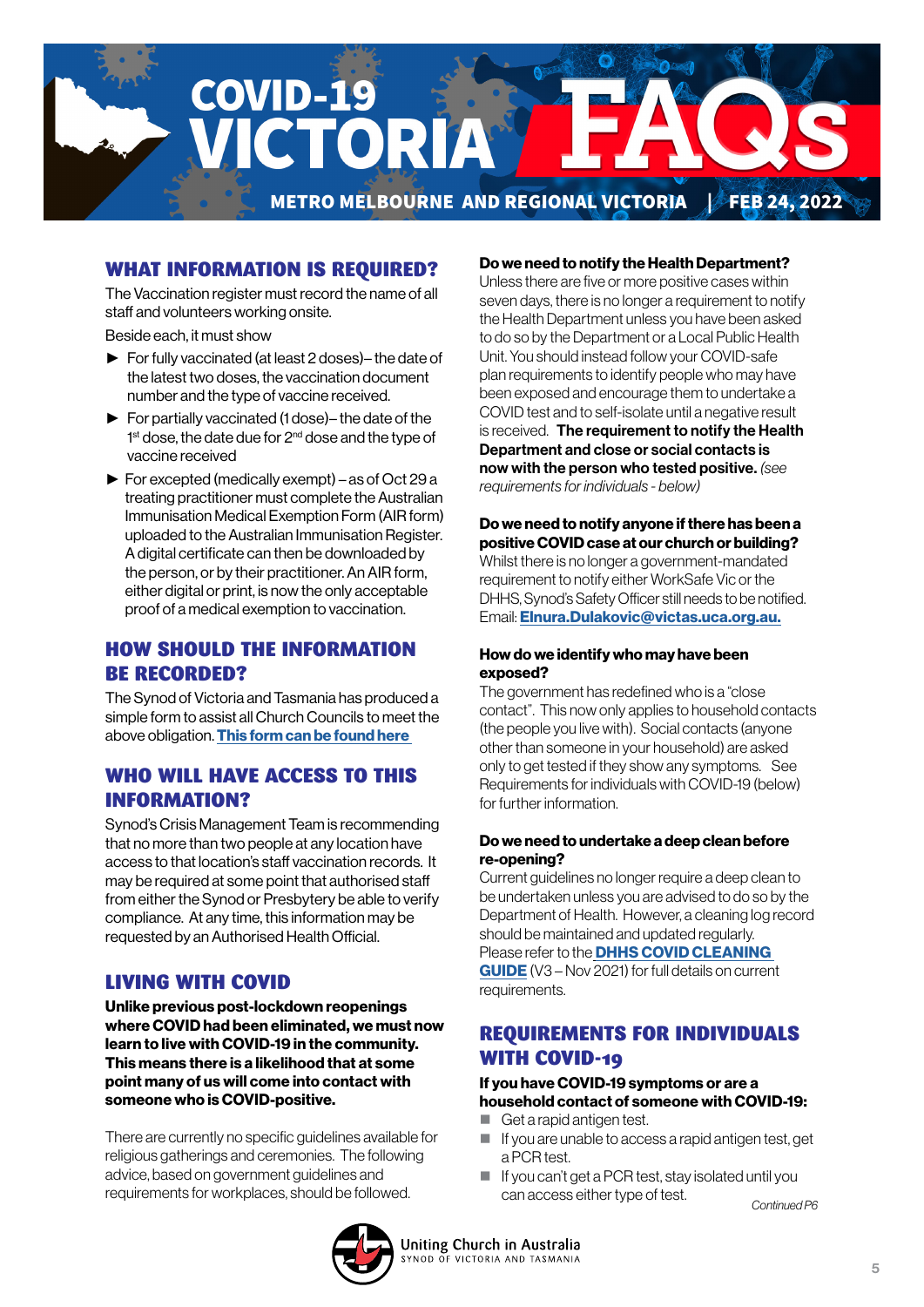

# WHAT INFORMATION IS REQUIRED?

The Vaccination register must record the name of all staff and volunteers working onsite.

Beside each, it must show

- ► For fully vaccinated (at least 2 doses)– the date of the latest two doses, the vaccination document number and the type of vaccine received.
- ► For partially vaccinated (1 dose)– the date of the 1<sup>st</sup> dose, the date due for 2<sup>nd</sup> dose and the type of vaccine received
- ► For excepted (medically exempt) as of Oct 29 a treating practitioner must complete the Australian Immunisation Medical Exemption Form (AIR form) uploaded to the Australian Immunisation Register. A digital certificate can then be downloaded by the person, or by their practitioner. An AIR form, either digital or print, is now the only acceptable proof of a medical exemption to vaccination.

### HOW SHOULD THE INFORMATION BE RECORDED?

The Synod of Victoria and Tasmania has produced a simple form to assist all Church Councils to meet the above obligation. [This form can be found here](https://victas.uca.org.au/download/668/faq/11504/worker-vaccination-status-record-congregations) 

### WHO WILL HAVE ACCESS TO THIS INFORMATION?

Synod's Crisis Management Team is recommending that no more than two people at any location have access to that location's staff vaccination records. It may be required at some point that authorised staff from either the Synod or Presbytery be able to verify compliance. At any time, this information may be requested by an Authorised Health Official.

### LIVING WITH COVID

Unlike previous post-lockdown reopenings where COVID had been eliminated, we must now learn to live with COVID-19 in the community. This means there is a likelihood that at some point many of us will come into contact with someone who is COVID-positive.

There are currently no specific guidelines available for religious gatherings and ceremonies. The following advice, based on government guidelines and

#### Do we need to notify the Health Department?

Unless there are five or more positive cases within seven days, there is no longer a requirement to notify the Health Department unless you have been asked to do so by the Department or a Local Public Health Unit. You should instead follow your COVID-safe plan requirements to identify people who may have been exposed and encourage them to undertake a COVID test and to self-isolate until a negative result is received. The requirement to notify the Health Department and close or social contacts is now with the person who tested positive. *(see requirements for individuals - below)*

Do we need to notify anyone if there has been a positive COVID case at our church or building? Whilst there is no longer a government-mandated requirement to notify either WorkSafe Vic or the DHHS, Synod's Safety Officer still needs to be notified. Email: [Elnura.Dulakovic@victas.uca.org.au.](mailto:Elnura.Dulakovic%40victas.uca.org.au.?subject=)

#### How do we identify who may have been exposed?

The government has redefined who is a "close contact". This now only applies to household contacts (the people you live with). Social contacts (anyone other than someone in your household) are asked only to get tested if they show any symptoms. See Requirements for individuals with COVID-19 (below) for further information.

#### Do we need to undertake a deep clean before re-opening?

Current guidelines no longer require a deep clean to be undertaken unless you are advised to do so by the Department of Health. However, a cleaning log record should be maintained and updated regularly. Please refer to the **DHHS COVID CLEANING** [GUIDE](https://victas.uca.org.au/download/668/faq/11557/covid-cleaning-guide) (V3 – Nov 2021) for full details on current requirements.

### REQUIREMENTS FOR INDIVIDUALS WITH COVID-19

#### If you have COVID-19 symptoms or are a household contact of someone with COVID-19:

- Get a rapid antigen test.
- $\blacksquare$  If you are unable to access a rapid antigen test, get a PCR test.
- If you can't get a PCR test, stay isolated until you can access either type of test. requirements for workplaces, should be followed. *Continued P6*

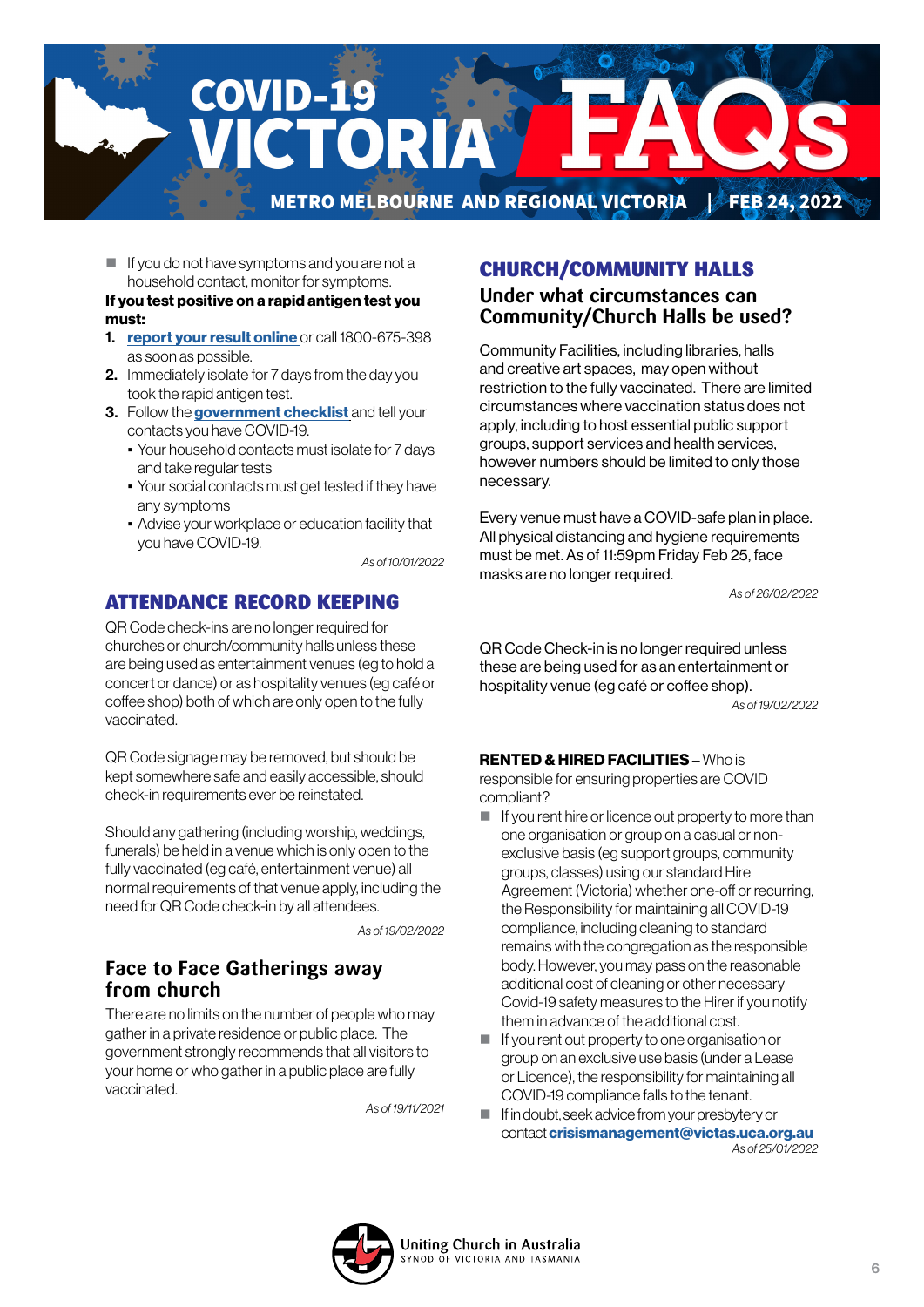

 $\blacksquare$  If you do not have symptoms and you are not a household contact, monitor for symptoms.

#### If you test positive on a rapid antigen test you must:

- 1. [report your result online](https://www.coronavirus.vic.gov.au/node/22270) or call 1800-675-398 as soon as possible.
- 2. Immediately isolate for 7 days from the day you took the rapid antigen test.
- 3. Follow the [government checklist]( https://www.coronavirus.vic.gov.au/checklist) and tell your contacts you have COVID-19.
	- Your household contacts must isolate for 7 days and take regular tests
	- Your social contacts must get tested if they have any symptoms
	- Advise your workplace or education facility that you have COVID-19.

*As of 10/01/2022*

# ATTENDANCE RECORD KEEPING

QR Code check-ins are no longer required for churches or church/community halls unless these are being used as entertainment venues (eg to hold a concert or dance) or as hospitality venues (eg café or coffee shop) both of which are only open to the fully vaccinated.

QR Code signage may be removed, but should be kept somewhere safe and easily accessible, should check-in requirements ever be reinstated.

Should any gathering (including worship, weddings, funerals) be held in a venue which is only open to the fully vaccinated (eg café, entertainment venue) all normal requirements of that venue apply, including the need for QR Code check-in by all attendees.

*As of 19/02/2022*

# **Face to Face Gatherings away from church**

There are no limits on the number of people who may gather in a private residence or public place. The government strongly recommends that all visitors to your home or who gather in a public place are fully vaccinated.

*As of 19/11/2021*

# CHURCH/COMMUNITY HALLS

### **Under what circumstances can Community/Church Halls be used?**

Community Facilities, including libraries, halls and creative art spaces, may open without restriction to the fully vaccinated. There are limited circumstances where vaccination status does not apply, including to host essential public support groups, support services and health services, however numbers should be limited to only those necessary.

Every venue must have a COVID-safe plan in place. All physical distancing and hygiene requirements must be met. As of 11:59pm Friday Feb 25, face masks are no longer required.

*As of 26/02/2022*

QR Code Check-in is no longer required unless these are being used for as an entertainment or hospitality venue (eg café or coffee shop). *As of 19/02/2022*

#### RENTED & HIRED FACILITIES – Who is

responsible for ensuring properties are COVID compliant?

- $\blacksquare$  If you rent hire or licence out property to more than one organisation or group on a casual or nonexclusive basis (eg support groups, community groups, classes) using our standard Hire Agreement (Victoria) whether one-off or recurring, the Responsibility for maintaining all COVID-19 compliance, including cleaning to standard remains with the congregation as the responsible body. However, you may pass on the reasonable additional cost of cleaning or other necessary Covid-19 safety measures to the Hirer if you notify them in advance of the additional cost.
- If you rent out property to one organisation or group on an exclusive use basis (under a Lease or Licence), the responsibility for maintaining all COVID-19 compliance falls to the tenant.
- If in doubt, seek advice from your presbytery or contact [crisismanagement@victas.uca.org.au](mailto:crisismanagement%40victas.uca.org.au%20?subject=) *As of 25/01/2022*

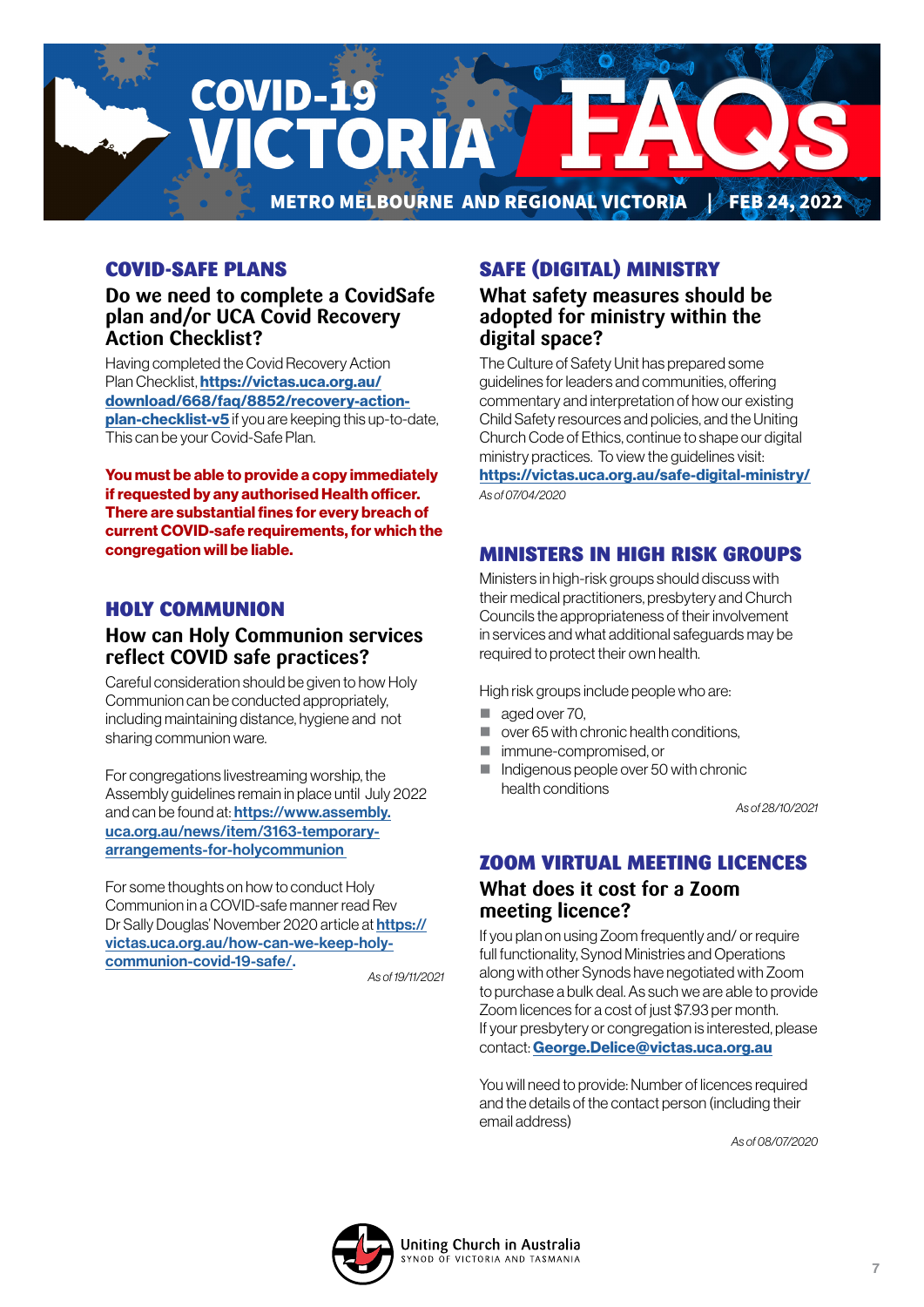

# COVID-SAFE PLANS

### **Do we need to complete a CovidSafe plan and/or UCA Covid Recovery Action Checklist?**

Having completed the Covid Recovery Action Plan Checklist, **[https://victas.uca.org.au/](https://victas.uca.org.au/download/668/faq/8852/recovery-action-plan-checklist-v5)** [download/668/faq/8852/recovery-action](https://victas.uca.org.au/download/668/faq/8852/recovery-action-plan-checklist-v5)[plan-checklist-v5](https://victas.uca.org.au/download/668/faq/8852/recovery-action-plan-checklist-v5) if you are keeping this up-to-date, This can be your Covid-Safe Plan.

You must be able to provide a copy immediately if requested by any authorised Health officer. There are substantial fines for every breach of current COVID-safe requirements, for which the congregation will be liable.

### HOLY COMMUNION

# **How can Holy Communion services reflect COVID safe practices?**

Careful consideration should be given to how Holy Communion can be conducted appropriately, including maintaining distance, hygiene and not sharing communion ware.

For congregations livestreaming worship, the Assembly guidelines remain in place until July 2022 and can be found at: [https://www.assembly.](https://
www.assembly.uca.org.au/news/item/3163-
temporary-arrangements-for-holycommunion ) [uca.org.au/news/item/3163-temporary](https://
www.assembly.uca.org.au/news/item/3163-
temporary-arrangements-for-holycommunion )[arrangements-for-holycommunion](https://
www.assembly.uca.org.au/news/item/3163-
temporary-arrangements-for-holycommunion ) 

For some thoughts on how to conduct Holy Communion in a COVID-safe manner read Rev Dr Sally Douglas' November 2020 article at [https://](https://

victas.uca.org.au/how-can-we-keep-holy-

communion-covid-19-safe/) [victas.uca.org.au/how-can-we-keep-holy](https://

victas.uca.org.au/how-can-we-keep-holy-

communion-covid-19-safe/)[communion-covid-19-safe/.](https://

victas.uca.org.au/how-can-we-keep-holy-

communion-covid-19-safe/) 

*As of 19/11/2021*

# SAFE (DIGITAL) MINISTRY

### **What safety measures should be adopted for ministry within the digital space?**

The Culture of Safety Unit has prepared some guidelines for leaders and communities, offering commentary and interpretation of how our existing Child Safety resources and policies, and the Uniting Church Code of Ethics, continue to shape our digital ministry practices. To view the guidelines visit: <https://victas.uca.org.au/safe-digital-ministry/>

*As of 07/04/2020*

# MINISTERS IN HIGH RISK GROUPS

Ministers in high-risk groups should discuss with their medical practitioners, presbytery and Church Councils the appropriateness of their involvement in services and what additional safeguards may be required to protect their own health.

High risk groups include people who are:

- aged over 70.
- over 65 with chronic health conditions,
- **I** immune-compromised, or
- Indigenous people over 50 with chronic health conditions

*As of 28/10/2021*

# ZOOM VIRTUAL MEETING LICENCES **What does it cost for a Zoom meeting licence?**

If you plan on using Zoom frequently and/ or require full functionality, Synod Ministries and Operations along with other Synods have negotiated with Zoom to purchase a bulk deal. As such we are able to provide Zoom licences for a cost of just \$7.93 per month. If your presbytery or congregation is interested, please contact: [George.Delice@victas.uca.org.au](mailto:George.Delice%40victas.uca.org.au?subject=)

You will need to provide: Number of licences required and the details of the contact person (including their email address)

*As of 08/07/2020*

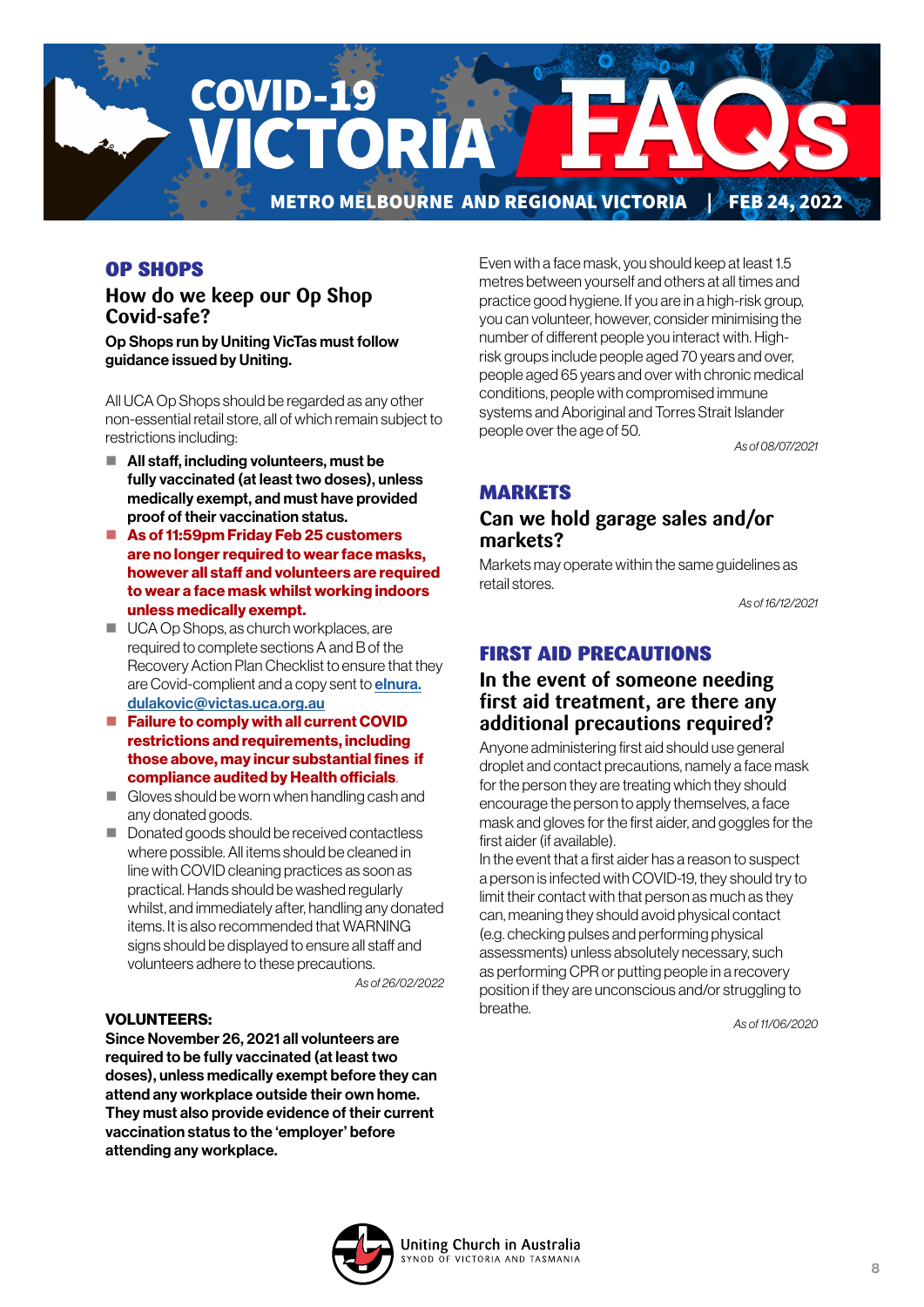

# OP SHOPS

# **How do we keep our Op Shop Covid-safe?**

Op Shops run by Uniting VicTas must follow guidance issued by Uniting.

All UCA Op Shops should be regarded as any other non-essential retail store, all of which remain subject to restrictions including:

- All staff, including volunteers, must be fully vaccinated (at least two doses), unless medically exempt, and must have provided proof of their vaccination status.
- As of 11:59pm Friday Feb 25 customers are no longer required to wear face masks, however all staff and volunteers are required to wear a face mask whilst working indoors unless medically exempt.
- UCA Op Shops, as church workplaces, are required to complete sections A and B of the Recovery Action Plan Checklist to ensure that they are Covid-complient and a copy sent to **[elnura.](mailto:elnura.dulakovic%40victas.uca.org.au%20%20?subject=)** [dulakovic@victas.uca.org.au](mailto:elnura.dulakovic%40victas.uca.org.au%20%20?subject=)
- Failure to comply with all current COVID [restrictions and requirements, including](mailto:elnura.dulakovic%40victas.uca.org.au%20%20?subject=)  [those above, may incur substantial fines if](mailto:elnura.dulakovic%40victas.uca.org.au%20%20?subject=)  [compliance audited by Health officials](mailto:elnura.dulakovic%40victas.uca.org.au%20%20?subject=).
- Gloves should be worn when handling cash and any donated goods.
- Donated goods should be received contactless where possible. All items should be cleaned in line with COVID cleaning practices as soon as practical. Hands should be washed regularly whilst, and immediately after, handling any donated items. It is also recommended that WARNING signs should be displayed to ensure all staff and volunteers adhere to these precautions.

*As of 26/02/2022*

#### VOLUNTEERS:

Since November 26, 2021 all volunteers are required to be fully vaccinated (at least two doses), unless medically exempt before they can attend any workplace outside their own home. They must also provide evidence of their current vaccination status to the 'employer' before attending any workplace.

Even with a face mask, you should keep at least 1.5 metres between yourself and others at all times and practice good hygiene. If you are in a high-risk group, you can volunteer, however, consider minimising the number of different people you interact with. Highrisk groups include people aged 70 years and over, people aged 65 years and over with chronic medical conditions, people with compromised immune systems and Aboriginal and Torres Strait Islander people over the age of 50.

*As of 08/07/2021*

### **MARKETS**

### **Can we hold garage sales and/or markets?**

Markets may operate within the same guidelines as retail stores.

*As of 16/12/2021*

### FIRST AID PRECAUTIONS

### **In the event of someone needing first aid treatment, are there any additional precautions required?**

Anyone administering first aid should use general droplet and contact precautions, namely a face mask for the person they are treating which they should encourage the person to apply themselves, a face mask and gloves for the first aider, and goggles for the first aider (if available).

In the event that a first aider has a reason to suspect a person is infected with COVID-19, they should try to limit their contact with that person as much as they can, meaning they should avoid physical contact (e.g. checking pulses and performing physical assessments) unless absolutely necessary, such as performing CPR or putting people in a recovery position if they are unconscious and/or struggling to breathe.

*As of 11/06/2020*